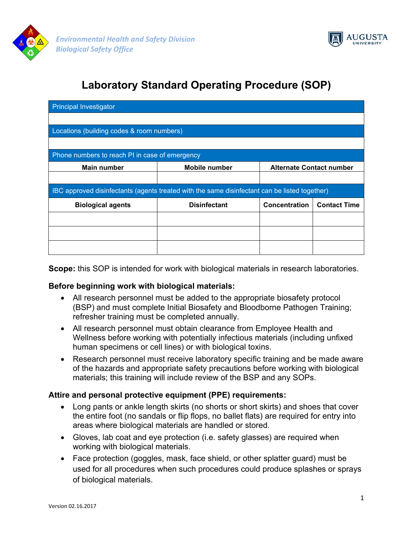



# **Laboratory Standard Operating Procedure (SOP)**

| <b>Principal Investigator</b>                                                                 |                      |                                 |                     |
|-----------------------------------------------------------------------------------------------|----------------------|---------------------------------|---------------------|
|                                                                                               |                      |                                 |                     |
| Locations (building codes & room numbers)                                                     |                      |                                 |                     |
|                                                                                               |                      |                                 |                     |
| Phone numbers to reach PI in case of emergency                                                |                      |                                 |                     |
| <b>Main number</b>                                                                            | <b>Mobile number</b> | <b>Alternate Contact number</b> |                     |
|                                                                                               |                      |                                 |                     |
| IBC approved disinfectants (agents treated with the same disinfectant can be listed together) |                      |                                 |                     |
| <b>Biological agents</b>                                                                      | <b>Disinfectant</b>  | Concentration                   | <b>Contact Time</b> |
|                                                                                               |                      |                                 |                     |
|                                                                                               |                      |                                 |                     |
|                                                                                               |                      |                                 |                     |

**Scope:** this SOP is intended for work with biological materials in research laboratories.

#### **Before beginning work with biological materials:**

- All research personnel must be added to the appropriate biosafety protocol (BSP) and must complete Initial Biosafety and Bloodborne Pathogen Training; refresher training must be completed annually.
- All research personnel must obtain clearance from Employee Health and Wellness before working with potentially infectious materials (including unfixed human specimens or cell lines) or with biological toxins.
- Research personnel must receive laboratory specific training and be made aware of the hazards and appropriate safety precautions before working with biological materials; this training will include review of the BSP and any SOPs.

### **Attire and personal protective equipment (PPE) requirements:**

- Long pants or ankle length skirts (no shorts or short skirts) and shoes that cover the entire foot (no sandals or flip flops, no ballet flats) are required for entry into areas where biological materials are handled or stored.
- Gloves, lab coat and eye protection (i.e. safety glasses) are required when working with biological materials.
- Face protection (goggles, mask, face shield, or other splatter guard) must be used for all procedures when such procedures could produce splashes or sprays of biological materials.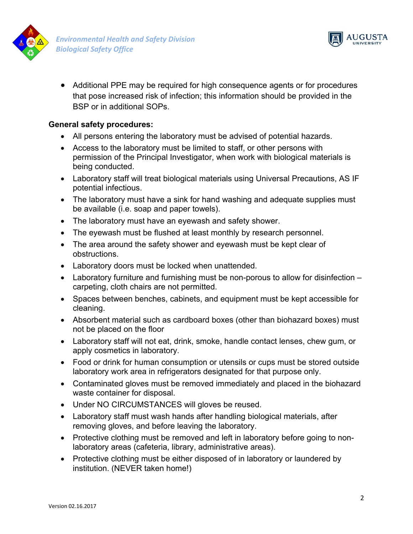



 Additional PPE may be required for high consequence agents or for procedures that pose increased risk of infection; this information should be provided in the BSP or in additional SOPs.

## **General safety procedures:**

- All persons entering the laboratory must be advised of potential hazards.
- Access to the laboratory must be limited to staff, or other persons with permission of the Principal Investigator, when work with biological materials is being conducted.
- Laboratory staff will treat biological materials using Universal Precautions, AS IF potential infectious.
- The laboratory must have a sink for hand washing and adequate supplies must be available (i.e. soap and paper towels).
- The laboratory must have an eyewash and safety shower.
- The eyewash must be flushed at least monthly by research personnel.
- The area around the safety shower and eyewash must be kept clear of obstructions.
- Laboratory doors must be locked when unattended.
- Laboratory furniture and furnishing must be non-porous to allow for disinfection carpeting, cloth chairs are not permitted.
- Spaces between benches, cabinets, and equipment must be kept accessible for cleaning.
- Absorbent material such as cardboard boxes (other than biohazard boxes) must not be placed on the floor
- Laboratory staff will not eat, drink, smoke, handle contact lenses, chew gum, or apply cosmetics in laboratory.
- Food or drink for human consumption or utensils or cups must be stored outside laboratory work area in refrigerators designated for that purpose only.
- Contaminated gloves must be removed immediately and placed in the biohazard waste container for disposal.
- Under NO CIRCUMSTANCES will gloves be reused.
- Laboratory staff must wash hands after handling biological materials, after removing gloves, and before leaving the laboratory.
- Protective clothing must be removed and left in laboratory before going to nonlaboratory areas (cafeteria, library, administrative areas).
- Protective clothing must be either disposed of in laboratory or laundered by institution. (NEVER taken home!)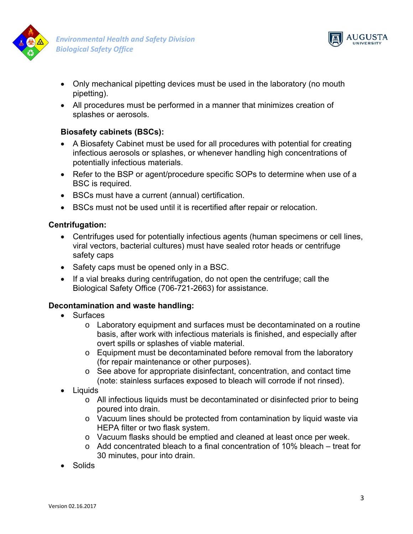



- Only mechanical pipetting devices must be used in the laboratory (no mouth pipetting).
- All procedures must be performed in a manner that minimizes creation of splashes or aerosols.

# **Biosafety cabinets (BSCs):**

- A Biosafety Cabinet must be used for all procedures with potential for creating infectious aerosols or splashes, or whenever handling high concentrations of potentially infectious materials.
- Refer to the BSP or agent/procedure specific SOPs to determine when use of a BSC is required.
- BSCs must have a current (annual) certification.
- BSCs must not be used until it is recertified after repair or relocation.

### **Centrifugation:**

- Centrifuges used for potentially infectious agents (human specimens or cell lines, viral vectors, bacterial cultures) must have sealed rotor heads or centrifuge safety caps
- Safety caps must be opened only in a BSC.
- If a vial breaks during centrifugation, do not open the centrifuge; call the Biological Safety Office (706-721-2663) for assistance.

### **Decontamination and waste handling:**

- Surfaces
	- $\circ$  Laboratory equipment and surfaces must be decontaminated on a routine basis, after work with infectious materials is finished, and especially after overt spills or splashes of viable material.
	- o Equipment must be decontaminated before removal from the laboratory (for repair maintenance or other purposes).
	- $\circ$  See above for appropriate disinfectant, concentration, and contact time (note: stainless surfaces exposed to bleach will corrode if not rinsed).
- Liquids
	- o All infectious liquids must be decontaminated or disinfected prior to being poured into drain.
	- o Vacuum lines should be protected from contamination by liquid waste via HEPA filter or two flask system.
	- o Vacuum flasks should be emptied and cleaned at least once per week.
	- o Add concentrated bleach to a final concentration of 10% bleach treat for 30 minutes, pour into drain.
- Solids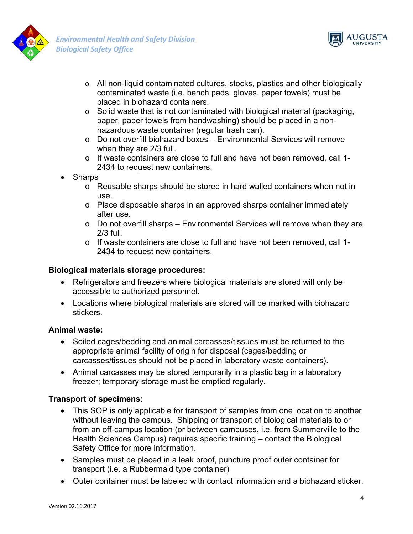



- o All non-liquid contaminated cultures, stocks, plastics and other biologically contaminated waste (i.e. bench pads, gloves, paper towels) must be placed in biohazard containers.
- $\circ$  Solid waste that is not contaminated with biological material (packaging, paper, paper towels from handwashing) should be placed in a nonhazardous waste container (regular trash can).
- o Do not overfill biohazard boxes Environmental Services will remove when they are 2/3 full.
- o If waste containers are close to full and have not been removed, call 1- 2434 to request new containers.
- Sharps
	- o Reusable sharps should be stored in hard walled containers when not in use.
	- $\circ$  Place disposable sharps in an approved sharps container immediately after use.
	- o Do not overfill sharps Environmental Services will remove when they are 2/3 full.
	- o If waste containers are close to full and have not been removed, call 1- 2434 to request new containers.

# **Biological materials storage procedures:**

- Refrigerators and freezers where biological materials are stored will only be accessible to authorized personnel.
- Locations where biological materials are stored will be marked with biohazard stickers.

# **Animal waste:**

- Soiled cages/bedding and animal carcasses/tissues must be returned to the appropriate animal facility of origin for disposal (cages/bedding or carcasses/tissues should not be placed in laboratory waste containers).
- Animal carcasses may be stored temporarily in a plastic bag in a laboratory freezer; temporary storage must be emptied regularly.

# **Transport of specimens:**

- This SOP is only applicable for transport of samples from one location to another without leaving the campus. Shipping or transport of biological materials to or from an off-campus location (or between campuses, i.e. from Summerville to the Health Sciences Campus) requires specific training – contact the Biological Safety Office for more information.
- Samples must be placed in a leak proof, puncture proof outer container for transport (i.e. a Rubbermaid type container)
- Outer container must be labeled with contact information and a biohazard sticker.